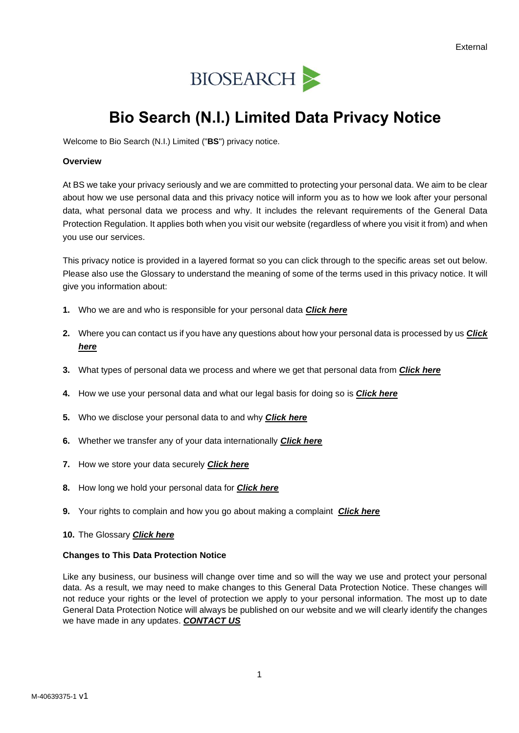

# **Bio Search (N.I.) Limited Data Privacy Notice**

Welcome to Bio Search (N.I.) Limited ("**BS**") privacy notice.

## **Overview**

At BS we take your privacy seriously and we are committed to protecting your personal data. We aim to be clear about how we use personal data and this privacy notice will inform you as to how we look after your personal data, what personal data we process and why. It includes the relevant requirements of the General Data Protection Regulation. It applies both when you visit our website (regardless of where you visit it from) and when you use our services.

This privacy notice is provided in a layered format so you can click through to the specific areas set out below. Please also use the Glossary to understand the meaning of some of the terms used in this privacy notice. It will give you information about:

- **1.** Who we are and who is responsible for your personal data *[Click here](#page-1-0)*
- **2.** Where you can contact us if you have any questions about how your personal data is processed by us *[Click](#page-1-1)  [here](#page-1-1)*
- **3.** What types of personal data we process and where we get that personal data from *[Click here](#page-1-2)*
- **4.** How we use your personal data and what our legal basis for doing so is *[Click here](#page-2-0)*
- **5.** Who we disclose your personal data to and why *[Click here](#page-5-0)*
- **6.** Whether we transfer any of your data internationally *[Click here](#page-5-1)*
- **7.** How we store your data securely *[Click here](#page-5-2)*
- **8.** How long we hold your personal data for *[Click here](#page-6-0)*
- **9.** Your rights to complain and how you go about making a complaint *[Click here](#page-6-1)*
- **10.** The Glossary *[Click here](#page-9-0)*

### **Changes to This Data Protection Notice**

Like any business, our business will change over time and so will the way we use and protect your personal data. As a result, we may need to make changes to this General Data Protection Notice. These changes will not reduce your rights or the level of protection we apply to your personal information. The most up to date General Data Protection Notice will always be published on our website and we will clearly identify the changes we have made in any updates. *[CONTACT US](mailto:privacy@biosearch.co.uk?subject=GDPR%20query)*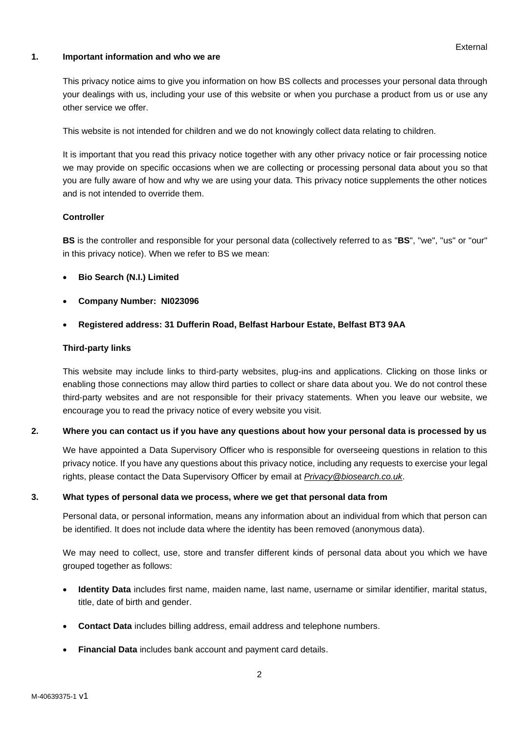## <span id="page-1-0"></span>**1. Important information and who we are**

This privacy notice aims to give you information on how BS collects and processes your personal data through your dealings with us, including your use of this website or when you purchase a product from us or use any other service we offer.

This website is not intended for children and we do not knowingly collect data relating to children.

It is important that you read this privacy notice together with any other privacy notice or fair processing notice we may provide on specific occasions when we are collecting or processing personal data about you so that you are fully aware of how and why we are using your data. This privacy notice supplements the other notices and is not intended to override them.

## **Controller**

**BS** is the controller and responsible for your personal data (collectively referred to as "**BS**", "we", "us" or "our" in this privacy notice). When we refer to BS we mean:

- **Bio Search (N.I.) Limited**
- **Company Number: NI023096**
- **Registered address: 31 Dufferin Road, Belfast Harbour Estate, Belfast BT3 9AA**

## **Third-party links**

This website may include links to third-party websites, plug-ins and applications. Clicking on those links or enabling those connections may allow third parties to collect or share data about you. We do not control these third-party websites and are not responsible for their privacy statements. When you leave our website, we encourage you to read the privacy notice of every website you visit.

# <span id="page-1-1"></span>**2. Where you can contact us if you have any questions about how your personal data is processed by us**

We have appointed a Data Supervisory Officer who is responsible for overseeing questions in relation to this privacy notice. If you have any questions about this privacy notice, including any requests to exercise your legal rights, please contact the Data Supervisory Officer by email at *[Privacy@biosearch.co.uk](mailto:Privacy@biosearch.co.uk)*.

# <span id="page-1-2"></span>**3. What types of personal data we process, where we get that personal data from**

Personal data, or personal information, means any information about an individual from which that person can be identified. It does not include data where the identity has been removed (anonymous data).

We may need to collect, use, store and transfer different kinds of personal data about you which we have grouped together as follows:

- **Identity Data** includes first name, maiden name, last name, username or similar identifier, marital status, title, date of birth and gender.
- **Contact Data** includes billing address, email address and telephone numbers.
- **Financial Data** includes bank account and payment card details.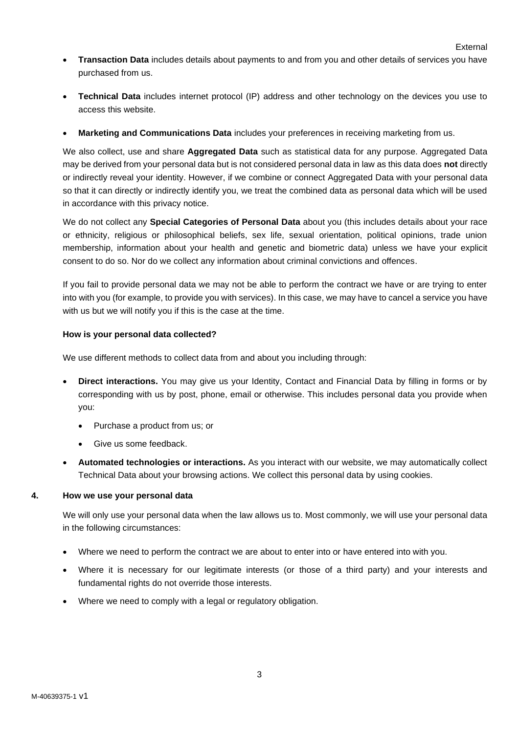- **Transaction Data** includes details about payments to and from you and other details of services you have purchased from us.
- **Technical Data** includes internet protocol (IP) address and other technology on the devices you use to access this website.
- **Marketing and Communications Data** includes your preferences in receiving marketing from us.

We also collect, use and share **Aggregated Data** such as statistical data for any purpose. Aggregated Data may be derived from your personal data but is not considered personal data in law as this data does **not** directly or indirectly reveal your identity. However, if we combine or connect Aggregated Data with your personal data so that it can directly or indirectly identify you, we treat the combined data as personal data which will be used in accordance with this privacy notice.

We do not collect any **Special Categories of Personal Data** about you (this includes details about your race or ethnicity, religious or philosophical beliefs, sex life, sexual orientation, political opinions, trade union membership, information about your health and genetic and biometric data) unless we have your explicit consent to do so. Nor do we collect any information about criminal convictions and offences.

If you fail to provide personal data we may not be able to perform the contract we have or are trying to enter into with you (for example, to provide you with services). In this case, we may have to cancel a service you have with us but we will notify you if this is the case at the time.

# **How is your personal data collected?**

We use different methods to collect data from and about you including through:

- **Direct interactions.** You may give us your Identity, Contact and Financial Data by filling in forms or by corresponding with us by post, phone, email or otherwise. This includes personal data you provide when you:
	- Purchase a product from us; or
	- Give us some feedback.
- **Automated technologies or interactions.** As you interact with our website, we may automatically collect Technical Data about your browsing actions. We collect this personal data by using cookies.

# <span id="page-2-0"></span>**4. How we use your personal data**

We will only use your personal data when the law allows us to. Most commonly, we will use your personal data in the following circumstances:

- Where we need to perform the contract we are about to enter into or have entered into with you.
- Where it is necessary for our legitimate interests (or those of a third party) and your interests and fundamental rights do not override those interests.
- Where we need to comply with a legal or regulatory obligation.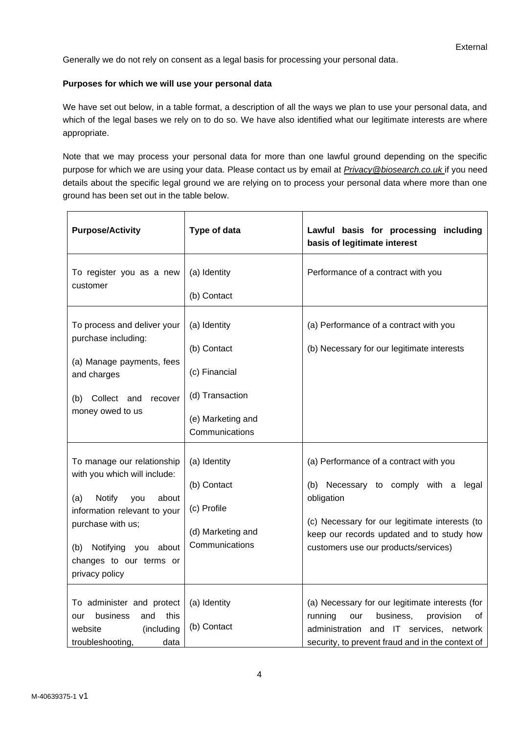Generally we do not rely on consent as a legal basis for processing your personal data.

# **Purposes for which we will use your personal data**

We have set out below, in a table format, a description of all the ways we plan to use your personal data, and which of the legal bases we rely on to do so. We have also identified what our legitimate interests are where appropriate.

Note that we may process your personal data for more than one lawful ground depending on the specific purpose for which we are using your data. Please contact us by email at *[Privacy@biosearch.co.uk](mailto:Privacy@biosearch.co.uk)* if you need details about the specific legal ground we are relying on to process your personal data where more than one ground has been set out in the table below.

| <b>Purpose/Activity</b>                                                                                                                                                                                                     | Type of data                                                                                           | Lawful basis for processing including<br>basis of legitimate interest                                                                                                                                                                  |
|-----------------------------------------------------------------------------------------------------------------------------------------------------------------------------------------------------------------------------|--------------------------------------------------------------------------------------------------------|----------------------------------------------------------------------------------------------------------------------------------------------------------------------------------------------------------------------------------------|
| To register you as a new<br>customer                                                                                                                                                                                        | (a) Identity<br>(b) Contact                                                                            | Performance of a contract with you                                                                                                                                                                                                     |
| To process and deliver your<br>purchase including:<br>(a) Manage payments, fees<br>and charges<br>(b) Collect and recover<br>money owed to us                                                                               | (a) Identity<br>(b) Contact<br>(c) Financial<br>(d) Transaction<br>(e) Marketing and<br>Communications | (a) Performance of a contract with you<br>(b) Necessary for our legitimate interests                                                                                                                                                   |
| To manage our relationship<br>with you which will include:<br>Notify<br>(a)<br>about<br>you<br>information relevant to your<br>purchase with us;<br>Notifying you about<br>(b)<br>changes to our terms or<br>privacy policy | (a) Identity<br>(b) Contact<br>(c) Profile<br>(d) Marketing and<br>Communications                      | (a) Performance of a contract with you<br>(b) Necessary to comply with a<br>legal<br>obligation<br>(c) Necessary for our legitimate interests (to<br>keep our records updated and to study how<br>customers use our products/services) |
| To administer and protect<br>business<br>this<br>and<br>our<br>(including<br>website<br>troubleshooting,<br>data                                                                                                            | (a) Identity<br>(b) Contact                                                                            | (a) Necessary for our legitimate interests (for<br>business,<br>provision<br>running<br>our<br>οf<br>administration and IT services, network<br>security, to prevent fraud and in the context of                                       |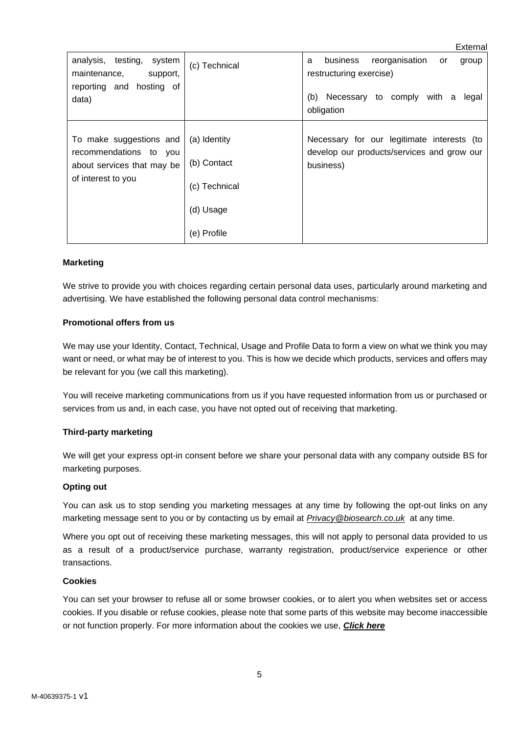|                                                                                                       |                                                                          | LAIGHIGI                                                                                              |
|-------------------------------------------------------------------------------------------------------|--------------------------------------------------------------------------|-------------------------------------------------------------------------------------------------------|
| analysis,<br>testing,<br>system<br>maintenance,<br>support,                                           | (c) Technical                                                            | business<br>reorganisation<br>group<br>a<br>or<br>restructuring exercise)                             |
| reporting and hosting of<br>data)                                                                     |                                                                          | (b) Necessary to comply with a<br>legal<br>obligation                                                 |
| To make suggestions and<br>recommendations to you<br>about services that may be<br>of interest to you | (a) Identity<br>(b) Contact<br>(c) Technical<br>(d) Usage<br>(e) Profile | Necessary for our legitimate interests (to<br>develop our products/services and grow our<br>business) |

External

# **Marketing**

We strive to provide you with choices regarding certain personal data uses, particularly around marketing and advertising. We have established the following personal data control mechanisms:

## **Promotional offers from us**

We may use your Identity, Contact, Technical, Usage and Profile Data to form a view on what we think you may want or need, or what may be of interest to you. This is how we decide which products, services and offers may be relevant for you (we call this marketing).

You will receive marketing communications from us if you have requested information from us or purchased or services from us and, in each case, you have not opted out of receiving that marketing.

# **Third-party marketing**

We will get your express opt-in consent before we share your personal data with any company outside BS for marketing purposes.

### **Opting out**

You can ask us to stop sending you marketing messages at any time by following the opt-out links on any marketing message sent to you or by contacting us by email at *[Privacy@biosearch.co.uk](mailto:Privacy@biosearch.co.uk)* at any time.

Where you opt out of receiving these marketing messages, this will not apply to personal data provided to us as a result of a product/service purchase, warranty registration, product/service experience or other transactions.

### **Cookies**

You can set your browser to refuse all or some browser cookies, or to alert you when websites set or access cookies. If you disable or refuse cookies, please note that some parts of this website may become inaccessible or not function properly. For more information about the cookies we use, *[Click here](https://www.biosearch.co.uk/cookies/)*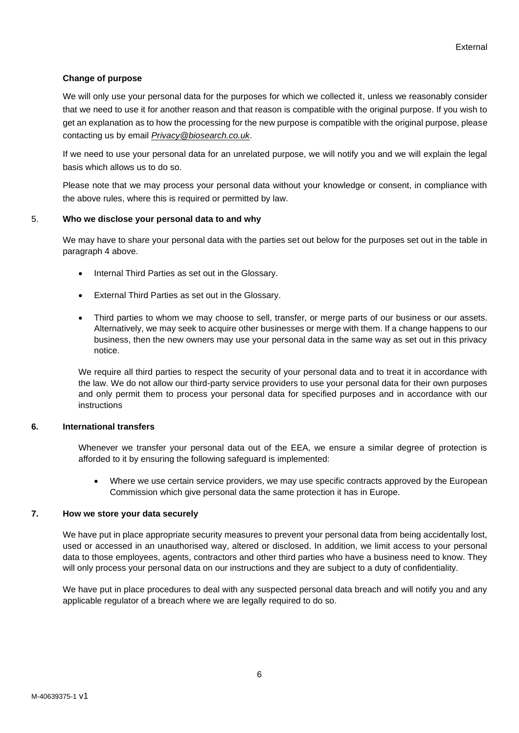# **Change of purpose**

We will only use your personal data for the purposes for which we collected it, unless we reasonably consider that we need to use it for another reason and that reason is compatible with the original purpose. If you wish to get an explanation as to how the processing for the new purpose is compatible with the original purpose, please contacting us by email *[Privacy@biosearch.co.uk](mailto:Privacy@biosearch.co.uk)*.

If we need to use your personal data for an unrelated purpose, we will notify you and we will explain the legal basis which allows us to do so.

Please note that we may process your personal data without your knowledge or consent, in compliance with the above rules, where this is required or permitted by law.

## <span id="page-5-0"></span>5. **Who we disclose your personal data to and why**

We may have to share your personal data with the parties set out below for the purposes set out in the table in paragraph 4 above.

- Internal Third Parties as set out in the Glossary.
- External Third Parties as set out in the Glossary.
- Third parties to whom we may choose to sell, transfer, or merge parts of our business or our assets. Alternatively, we may seek to acquire other businesses or merge with them. If a change happens to our business, then the new owners may use your personal data in the same way as set out in this privacy notice.

We require all third parties to respect the security of your personal data and to treat it in accordance with the law. We do not allow our third-party service providers to use your personal data for their own purposes and only permit them to process your personal data for specified purposes and in accordance with our instructions

## <span id="page-5-1"></span>**6. International transfers**

Whenever we transfer your personal data out of the EEA, we ensure a similar degree of protection is afforded to it by ensuring the following safeguard is implemented:

• Where we use certain service providers, we may use specific contracts approved by the European Commission which give personal data the same protection it has in Europe.

### <span id="page-5-2"></span>**7. How we store your data securely**

We have put in place appropriate security measures to prevent your personal data from being accidentally lost, used or accessed in an unauthorised way, altered or disclosed. In addition, we limit access to your personal data to those employees, agents, contractors and other third parties who have a business need to know. They will only process your personal data on our instructions and they are subject to a duty of confidentiality.

We have put in place procedures to deal with any suspected personal data breach and will notify you and any applicable regulator of a breach where we are legally required to do so.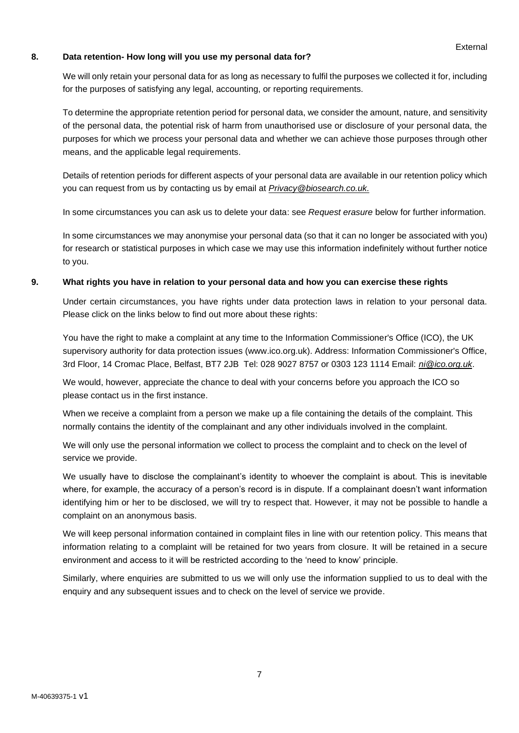# <span id="page-6-0"></span>**8. Data retention- How long will you use my personal data for?**

We will only retain your personal data for as long as necessary to fulfil the purposes we collected it for, including for the purposes of satisfying any legal, accounting, or reporting requirements.

To determine the appropriate retention period for personal data, we consider the amount, nature, and sensitivity of the personal data, the potential risk of harm from unauthorised use or disclosure of your personal data, the purposes for which we process your personal data and whether we can achieve those purposes through other means, and the applicable legal requirements.

Details of retention periods for different aspects of your personal data are available in our retention policy which you can request from us by contacting us by email at *[Privacy@biosearch.co.uk.](mailto:Privacy@biosearch.co.uk)*

In some circumstances you can ask us to delete your data: see *Request erasure* below for further information.

In some circumstances we may anonymise your personal data (so that it can no longer be associated with you) for research or statistical purposes in which case we may use this information indefinitely without further notice to you.

### <span id="page-6-1"></span>**9. What rights you have in relation to your personal data and how you can exercise these rights**

Under certain circumstances, you have rights under data protection laws in relation to your personal data. Please click on the links below to find out more about these rights:

You have the right to make a complaint at any time to the Information Commissioner's Office (ICO), the UK supervisory authority for data protection issues (www.ico.org.uk). Address: Information Commissioner's Office, 3rd Floor, 14 Cromac Place, Belfast, BT7 2JB Tel: 028 9027 8757 or 0303 123 1114 Email: *[ni@ico.org.uk](mailto:ni@ico.org.uk)*.

We would, however, appreciate the chance to deal with your concerns before you approach the ICO so please contact us in the first instance.

When we receive a complaint from a person we make up a file containing the details of the complaint. This normally contains the identity of the complainant and any other individuals involved in the complaint.

We will only use the personal information we collect to process the complaint and to check on the level of service we provide.

We usually have to disclose the complainant's identity to whoever the complaint is about. This is inevitable where, for example, the accuracy of a person's record is in dispute. If a complainant doesn't want information identifying him or her to be disclosed, we will try to respect that. However, it may not be possible to handle a complaint on an anonymous basis.

We will keep personal information contained in complaint files in line with our retention policy. This means that information relating to a complaint will be retained for two years from closure. It will be retained in a secure environment and access to it will be restricted according to the 'need to know' principle.

Similarly, where enquiries are submitted to us we will only use the information supplied to us to deal with the enquiry and any subsequent issues and to check on the level of service we provide.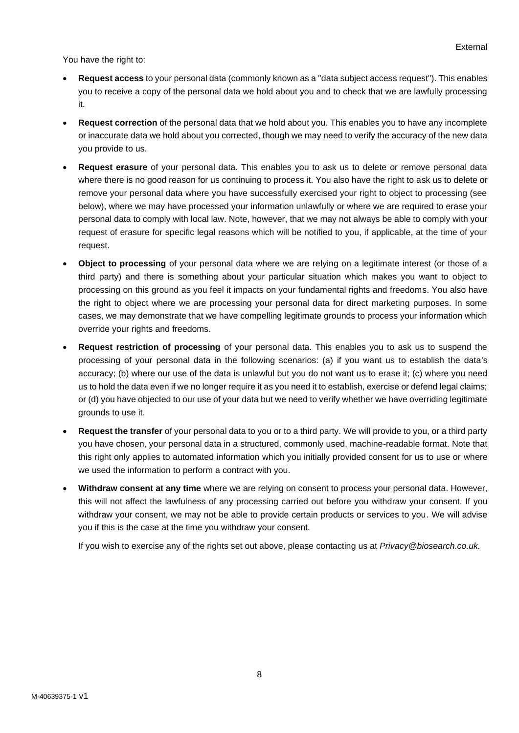You have the right to:

- **Request access** to your personal data (commonly known as a "data subject access request"). This enables you to receive a copy of the personal data we hold about you and to check that we are lawfully processing it.
- **Request correction** of the personal data that we hold about you. This enables you to have any incomplete or inaccurate data we hold about you corrected, though we may need to verify the accuracy of the new data you provide to us.
- **Request erasure** of your personal data. This enables you to ask us to delete or remove personal data where there is no good reason for us continuing to process it. You also have the right to ask us to delete or remove your personal data where you have successfully exercised your right to object to processing (see below), where we may have processed your information unlawfully or where we are required to erase your personal data to comply with local law. Note, however, that we may not always be able to comply with your request of erasure for specific legal reasons which will be notified to you, if applicable, at the time of your request.
- **Object to processing** of your personal data where we are relying on a legitimate interest (or those of a third party) and there is something about your particular situation which makes you want to object to processing on this ground as you feel it impacts on your fundamental rights and freedoms. You also have the right to object where we are processing your personal data for direct marketing purposes. In some cases, we may demonstrate that we have compelling legitimate grounds to process your information which override your rights and freedoms.
- **Request restriction of processing** of your personal data. This enables you to ask us to suspend the processing of your personal data in the following scenarios: (a) if you want us to establish the data's accuracy; (b) where our use of the data is unlawful but you do not want us to erase it; (c) where you need us to hold the data even if we no longer require it as you need it to establish, exercise or defend legal claims; or (d) you have objected to our use of your data but we need to verify whether we have overriding legitimate grounds to use it.
- **Request the transfer** of your personal data to you or to a third party. We will provide to you, or a third party you have chosen, your personal data in a structured, commonly used, machine-readable format. Note that this right only applies to automated information which you initially provided consent for us to use or where we used the information to perform a contract with you.
- **Withdraw consent at any time** where we are relying on consent to process your personal data. However, this will not affect the lawfulness of any processing carried out before you withdraw your consent. If you withdraw your consent, we may not be able to provide certain products or services to you. We will advise you if this is the case at the time you withdraw your consent.

If you wish to exercise any of the rights set out above, please contacting us at *[Privacy@biosearch.co.uk.](mailto:Privacy@biosearch.co.uk)*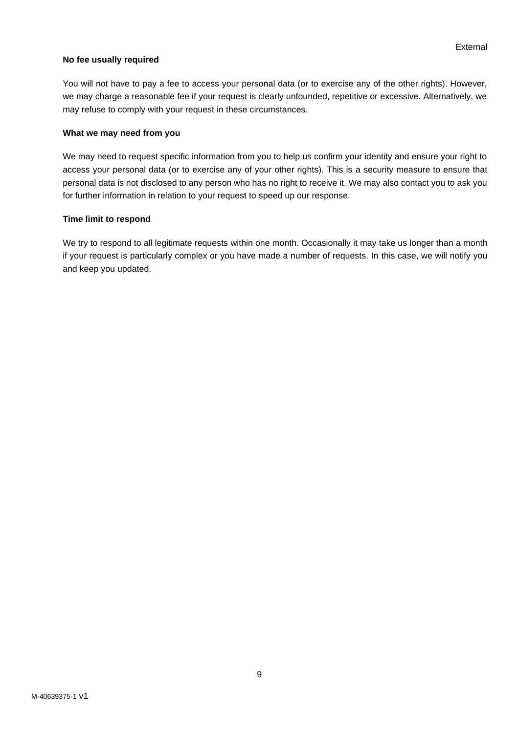# **No fee usually required**

You will not have to pay a fee to access your personal data (or to exercise any of the other rights). However, we may charge a reasonable fee if your request is clearly unfounded, repetitive or excessive. Alternatively, we may refuse to comply with your request in these circumstances.

# **What we may need from you**

We may need to request specific information from you to help us confirm your identity and ensure your right to access your personal data (or to exercise any of your other rights). This is a security measure to ensure that personal data is not disclosed to any person who has no right to receive it. We may also contact you to ask you for further information in relation to your request to speed up our response.

# **Time limit to respond**

We try to respond to all legitimate requests within one month. Occasionally it may take us longer than a month if your request is particularly complex or you have made a number of requests. In this case, we will notify you and keep you updated.